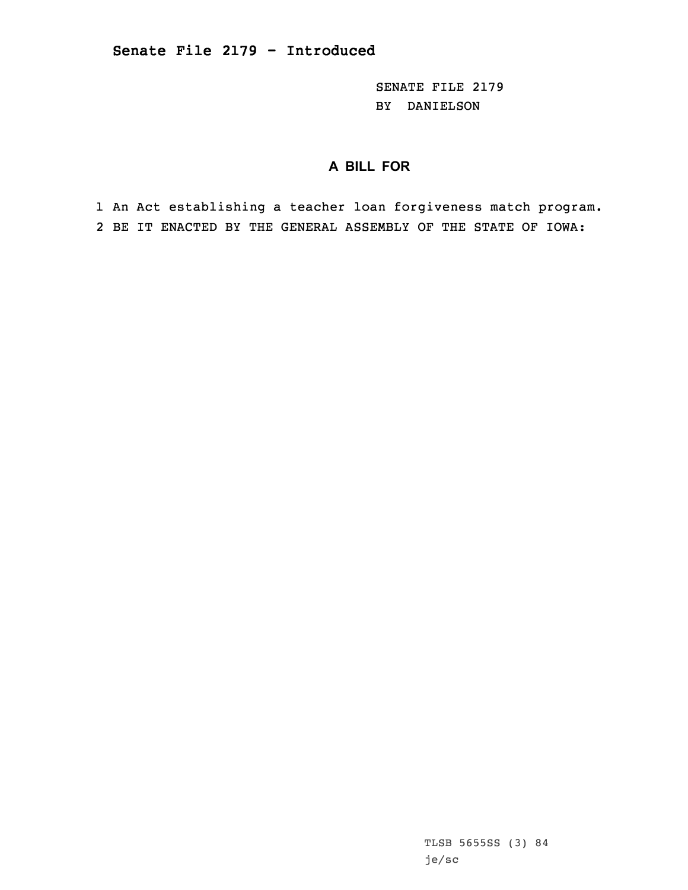SENATE FILE 2179 BY DANIELSON

## **A BILL FOR**

1 An Act establishing <sup>a</sup> teacher loan forgiveness match program. 2 BE IT ENACTED BY THE GENERAL ASSEMBLY OF THE STATE OF IOWA: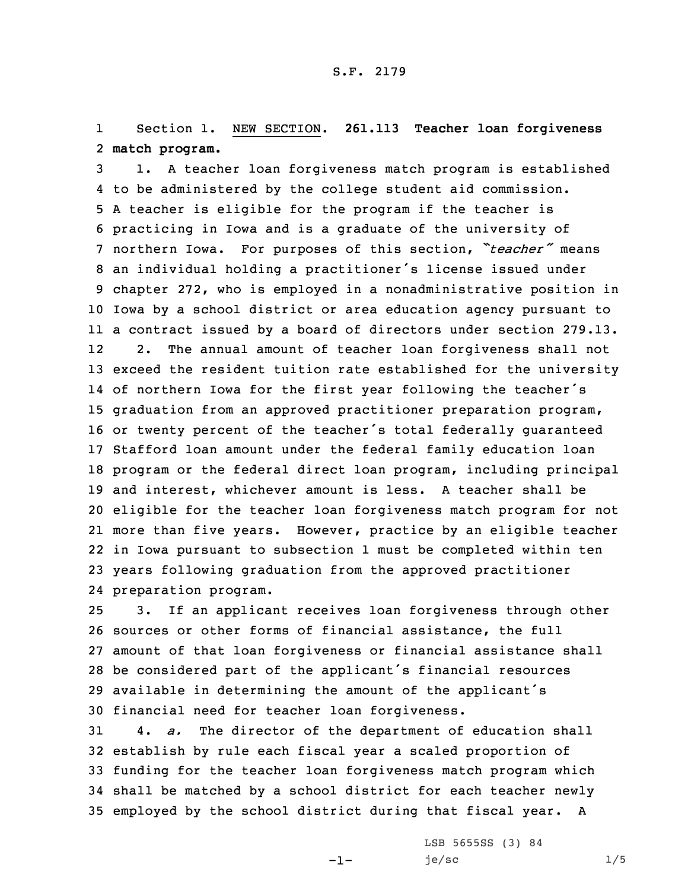1 Section 1. NEW SECTION. **261.113 Teacher loan forgiveness** 2 **match program.**

 1. <sup>A</sup> teacher loan forgiveness match program is established to be administered by the college student aid commission. <sup>A</sup> teacher is eligible for the program if the teacher is practicing in Iowa and is <sup>a</sup> graduate of the university of northern Iowa. For purposes of this section, *"teacher"* means an individual holding <sup>a</sup> practitioner's license issued under chapter 272, who is employed in <sup>a</sup> nonadministrative position in Iowa by <sup>a</sup> school district or area education agency pursuant to <sup>a</sup> contract issued by <sup>a</sup> board of directors under section 279.13. 12 2. The annual amount of teacher loan forgiveness shall not exceed the resident tuition rate established for the university of northern Iowa for the first year following the teacher's graduation from an approved practitioner preparation program, or twenty percent of the teacher's total federally guaranteed Stafford loan amount under the federal family education loan program or the federal direct loan program, including principal and interest, whichever amount is less. A teacher shall be eligible for the teacher loan forgiveness match program for not more than five years. However, practice by an eligible teacher in Iowa pursuant to subsection 1 must be completed within ten years following graduation from the approved practitioner preparation program.

 3. If an applicant receives loan forgiveness through other sources or other forms of financial assistance, the full amount of that loan forgiveness or financial assistance shall be considered part of the applicant's financial resources available in determining the amount of the applicant's financial need for teacher loan forgiveness.

 4. *a.* The director of the department of education shall establish by rule each fiscal year <sup>a</sup> scaled proportion of funding for the teacher loan forgiveness match program which shall be matched by <sup>a</sup> school district for each teacher newly employed by the school district during that fiscal year. <sup>A</sup>

-1-

LSB 5655SS (3) 84  $je/sec$  1/5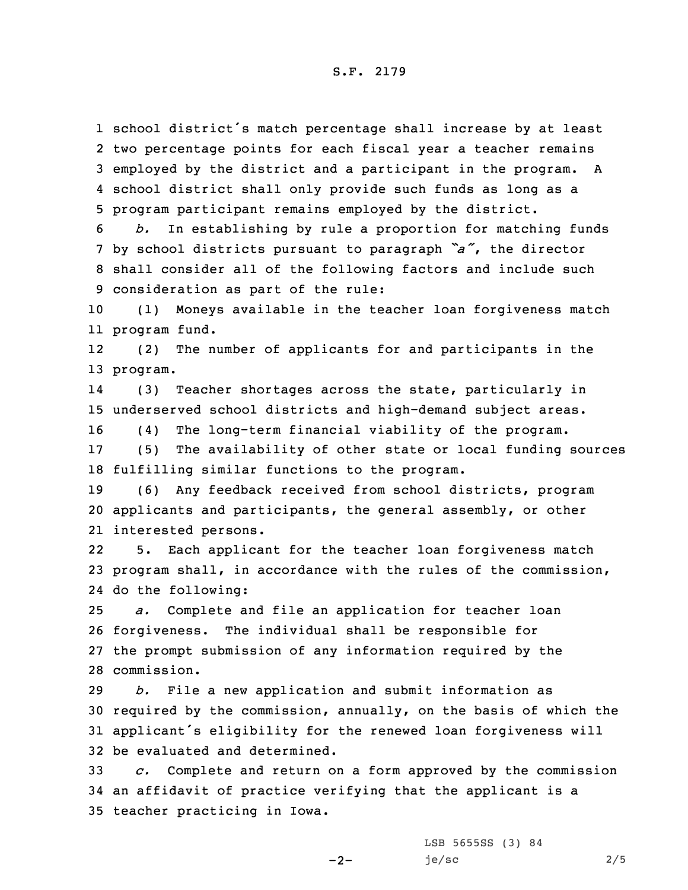school district's match percentage shall increase by at least two percentage points for each fiscal year <sup>a</sup> teacher remains employed by the district and <sup>a</sup> participant in the program. <sup>A</sup> school district shall only provide such funds as long as <sup>a</sup> program participant remains employed by the district.

 *b.* In establishing by rule <sup>a</sup> proportion for matching funds by school districts pursuant to paragraph *"a"*, the director shall consider all of the following factors and include such consideration as part of the rule:

10 (1) Moneys available in the teacher loan forgiveness match 11 program fund.

12 (2) The number of applicants for and participants in the 13 program.

14 (3) Teacher shortages across the state, particularly in 15 underserved school districts and high-demand subject areas.

16 (4) The long-term financial viability of the program.

17 (5) The availability of other state or local funding sources 18 fulfilling similar functions to the program.

19 (6) Any feedback received from school districts, program 20 applicants and participants, the general assembly, or other 21 interested persons.

22 5. Each applicant for the teacher loan forgiveness match 23 program shall, in accordance with the rules of the commission, 24 do the following:

 *a.* Complete and file an application for teacher loan forgiveness. The individual shall be responsible for the prompt submission of any information required by the commission.

 *b.* File <sup>a</sup> new application and submit information as required by the commission, annually, on the basis of which the applicant's eligibility for the renewed loan forgiveness will be evaluated and determined.

33 *c.* Complete and return on <sup>a</sup> form approved by the commission 34 an affidavit of practice verifying that the applicant is <sup>a</sup> 35 teacher practicing in Iowa.

 $-2-$ 

LSB 5655SS (3) 84  $je/sec$  2/5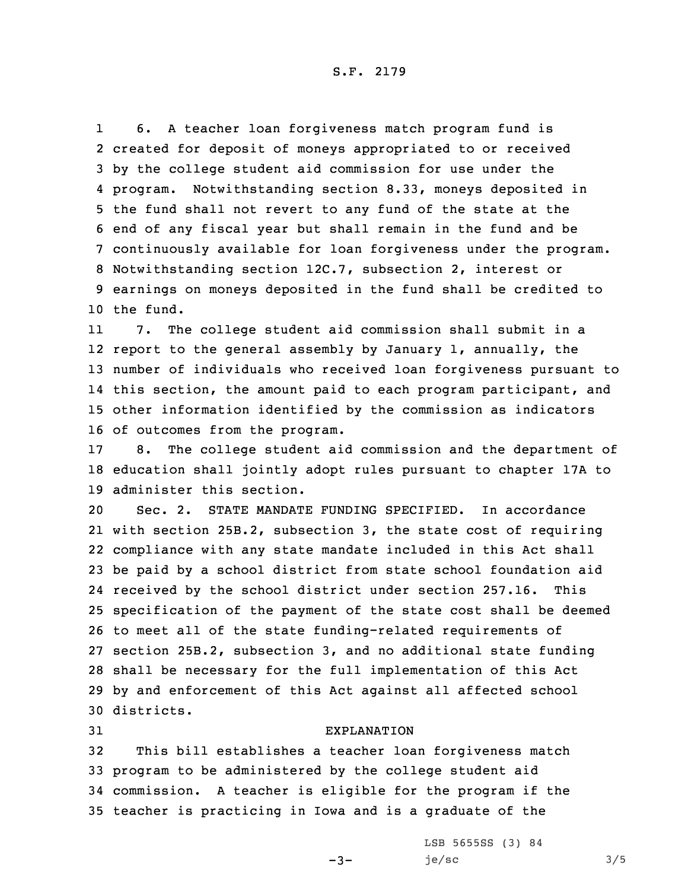S.F. 2179

1 6. <sup>A</sup> teacher loan forgiveness match program fund is created for deposit of moneys appropriated to or received by the college student aid commission for use under the program. Notwithstanding section 8.33, moneys deposited in the fund shall not revert to any fund of the state at the end of any fiscal year but shall remain in the fund and be continuously available for loan forgiveness under the program. Notwithstanding section 12C.7, subsection 2, interest or earnings on moneys deposited in the fund shall be credited to the fund.

11 7. The college student aid commission shall submit in <sup>a</sup> report to the general assembly by January 1, annually, the number of individuals who received loan forgiveness pursuant to this section, the amount paid to each program participant, and other information identified by the commission as indicators of outcomes from the program.

17 8. The college student aid commission and the department of 18 education shall jointly adopt rules pursuant to chapter 17A to 19 administer this section.

 Sec. 2. STATE MANDATE FUNDING SPECIFIED. In accordance with section 25B.2, subsection 3, the state cost of requiring compliance with any state mandate included in this Act shall be paid by <sup>a</sup> school district from state school foundation aid received by the school district under section 257.16. This specification of the payment of the state cost shall be deemed to meet all of the state funding-related requirements of section 25B.2, subsection 3, and no additional state funding shall be necessary for the full implementation of this Act by and enforcement of this Act against all affected school districts.

## 31 EXPLANATION

 This bill establishes <sup>a</sup> teacher loan forgiveness match program to be administered by the college student aid commission. <sup>A</sup> teacher is eligible for the program if the teacher is practicing in Iowa and is <sup>a</sup> graduate of the

 $-3-$ 

LSB 5655SS (3) 84  $je/sec$  3/5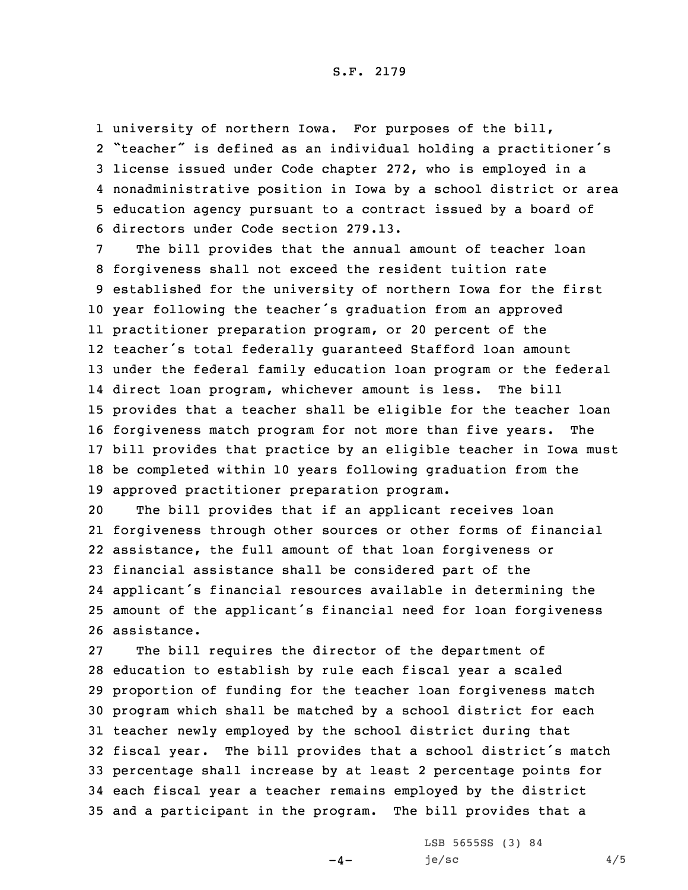university of northern Iowa. For purposes of the bill, "teacher" is defined as an individual holding <sup>a</sup> practitioner's license issued under Code chapter 272, who is employed in <sup>a</sup> nonadministrative position in Iowa by <sup>a</sup> school district or area education agency pursuant to <sup>a</sup> contract issued by <sup>a</sup> board of directors under Code section 279.13.

 The bill provides that the annual amount of teacher loan forgiveness shall not exceed the resident tuition rate established for the university of northern Iowa for the first year following the teacher's graduation from an approved practitioner preparation program, or 20 percent of the teacher's total federally guaranteed Stafford loan amount under the federal family education loan program or the federal direct loan program, whichever amount is less. The bill provides that <sup>a</sup> teacher shall be eligible for the teacher loan forgiveness match program for not more than five years. The bill provides that practice by an eligible teacher in Iowa must be completed within 10 years following graduation from the approved practitioner preparation program.

 The bill provides that if an applicant receives loan forgiveness through other sources or other forms of financial assistance, the full amount of that loan forgiveness or financial assistance shall be considered part of the applicant's financial resources available in determining the amount of the applicant's financial need for loan forgiveness assistance.

 The bill requires the director of the department of education to establish by rule each fiscal year <sup>a</sup> scaled proportion of funding for the teacher loan forgiveness match program which shall be matched by <sup>a</sup> school district for each teacher newly employed by the school district during that fiscal year. The bill provides that <sup>a</sup> school district's match percentage shall increase by at least 2 percentage points for each fiscal year <sup>a</sup> teacher remains employed by the district and <sup>a</sup> participant in the program. The bill provides that <sup>a</sup>

 $-4-$ 

LSB 5655SS (3) 84  $je/sec$  4/5